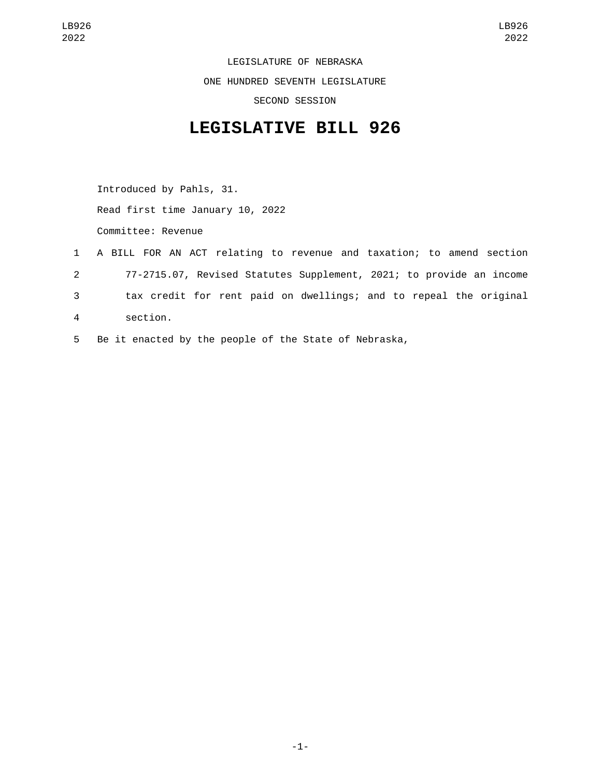LEGISLATURE OF NEBRASKA ONE HUNDRED SEVENTH LEGISLATURE SECOND SESSION

## **LEGISLATIVE BILL 926**

Introduced by Pahls, 31. Read first time January 10, 2022 Committee: Revenue

- 1 A BILL FOR AN ACT relating to revenue and taxation; to amend section 2 77-2715.07, Revised Statutes Supplement, 2021; to provide an income 3 tax credit for rent paid on dwellings; and to repeal the original section.4
- 5 Be it enacted by the people of the State of Nebraska,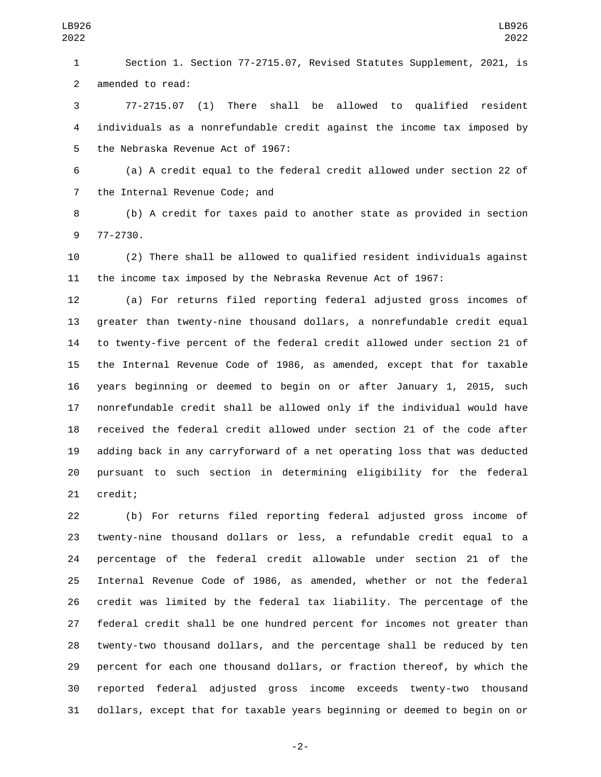Section 1. Section 77-2715.07, Revised Statutes Supplement, 2021, is 2 amended to read:

 77-2715.07 (1) There shall be allowed to qualified resident individuals as a nonrefundable credit against the income tax imposed by 5 the Nebraska Revenue Act of 1967:

 (a) A credit equal to the federal credit allowed under section 22 of 7 the Internal Revenue Code; and

 (b) A credit for taxes paid to another state as provided in section 9 77-2730.

 (2) There shall be allowed to qualified resident individuals against the income tax imposed by the Nebraska Revenue Act of 1967:

 (a) For returns filed reporting federal adjusted gross incomes of greater than twenty-nine thousand dollars, a nonrefundable credit equal to twenty-five percent of the federal credit allowed under section 21 of the Internal Revenue Code of 1986, as amended, except that for taxable years beginning or deemed to begin on or after January 1, 2015, such nonrefundable credit shall be allowed only if the individual would have received the federal credit allowed under section 21 of the code after adding back in any carryforward of a net operating loss that was deducted pursuant to such section in determining eligibility for the federal 21 credit;

 (b) For returns filed reporting federal adjusted gross income of twenty-nine thousand dollars or less, a refundable credit equal to a percentage of the federal credit allowable under section 21 of the Internal Revenue Code of 1986, as amended, whether or not the federal credit was limited by the federal tax liability. The percentage of the federal credit shall be one hundred percent for incomes not greater than twenty-two thousand dollars, and the percentage shall be reduced by ten percent for each one thousand dollars, or fraction thereof, by which the reported federal adjusted gross income exceeds twenty-two thousand dollars, except that for taxable years beginning or deemed to begin on or

-2-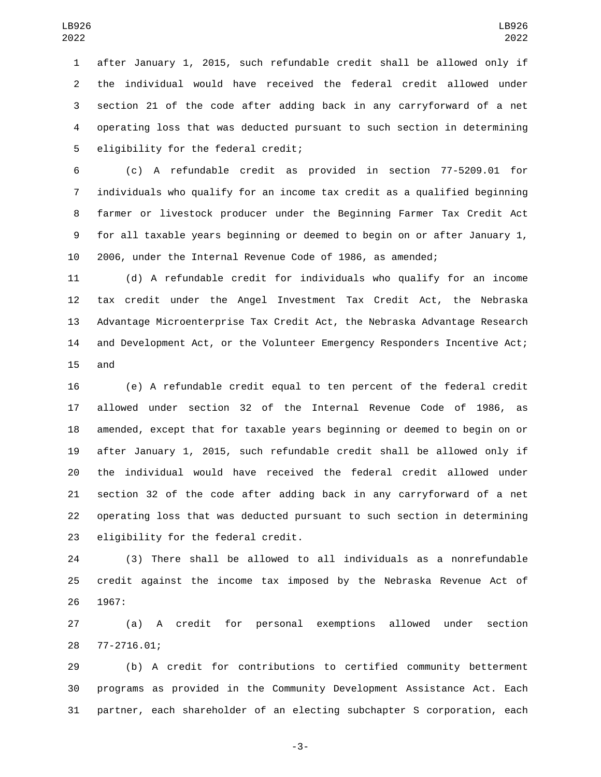after January 1, 2015, such refundable credit shall be allowed only if the individual would have received the federal credit allowed under section 21 of the code after adding back in any carryforward of a net operating loss that was deducted pursuant to such section in determining 5 eligibility for the federal credit;

 (c) A refundable credit as provided in section 77-5209.01 for individuals who qualify for an income tax credit as a qualified beginning farmer or livestock producer under the Beginning Farmer Tax Credit Act for all taxable years beginning or deemed to begin on or after January 1, 2006, under the Internal Revenue Code of 1986, as amended;

 (d) A refundable credit for individuals who qualify for an income tax credit under the Angel Investment Tax Credit Act, the Nebraska Advantage Microenterprise Tax Credit Act, the Nebraska Advantage Research and Development Act, or the Volunteer Emergency Responders Incentive Act; 15 and

 (e) A refundable credit equal to ten percent of the federal credit allowed under section 32 of the Internal Revenue Code of 1986, as amended, except that for taxable years beginning or deemed to begin on or after January 1, 2015, such refundable credit shall be allowed only if the individual would have received the federal credit allowed under section 32 of the code after adding back in any carryforward of a net operating loss that was deducted pursuant to such section in determining 23 eligibility for the federal credit.

 (3) There shall be allowed to all individuals as a nonrefundable credit against the income tax imposed by the Nebraska Revenue Act of 26 1967:

 (a) A credit for personal exemptions allowed under section 77-2716.01;28

 (b) A credit for contributions to certified community betterment programs as provided in the Community Development Assistance Act. Each partner, each shareholder of an electing subchapter S corporation, each

-3-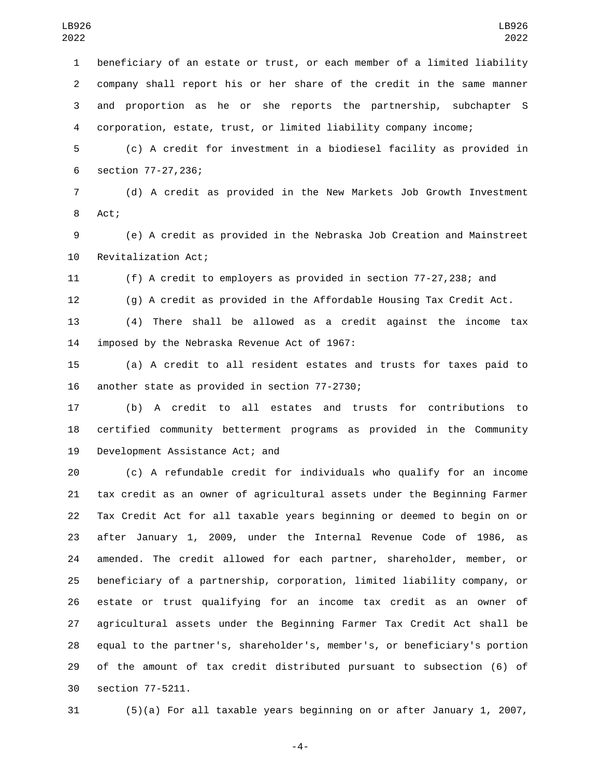beneficiary of an estate or trust, or each member of a limited liability company shall report his or her share of the credit in the same manner and proportion as he or she reports the partnership, subchapter S corporation, estate, trust, or limited liability company income;

 (c) A credit for investment in a biodiesel facility as provided in 6 section 77-27,236;

 (d) A credit as provided in the New Markets Job Growth Investment 8 Act;

 (e) A credit as provided in the Nebraska Job Creation and Mainstreet 10 Revitalization Act;

(f) A credit to employers as provided in section 77-27,238; and

(g) A credit as provided in the Affordable Housing Tax Credit Act.

 (4) There shall be allowed as a credit against the income tax 14 imposed by the Nebraska Revenue Act of 1967:

 (a) A credit to all resident estates and trusts for taxes paid to 16 another state as provided in section 77-2730;

 (b) A credit to all estates and trusts for contributions to certified community betterment programs as provided in the Community 19 Development Assistance Act; and

 (c) A refundable credit for individuals who qualify for an income tax credit as an owner of agricultural assets under the Beginning Farmer Tax Credit Act for all taxable years beginning or deemed to begin on or after January 1, 2009, under the Internal Revenue Code of 1986, as amended. The credit allowed for each partner, shareholder, member, or beneficiary of a partnership, corporation, limited liability company, or estate or trust qualifying for an income tax credit as an owner of agricultural assets under the Beginning Farmer Tax Credit Act shall be equal to the partner's, shareholder's, member's, or beneficiary's portion of the amount of tax credit distributed pursuant to subsection (6) of 30 section 77-5211.

(5)(a) For all taxable years beginning on or after January 1, 2007,

-4-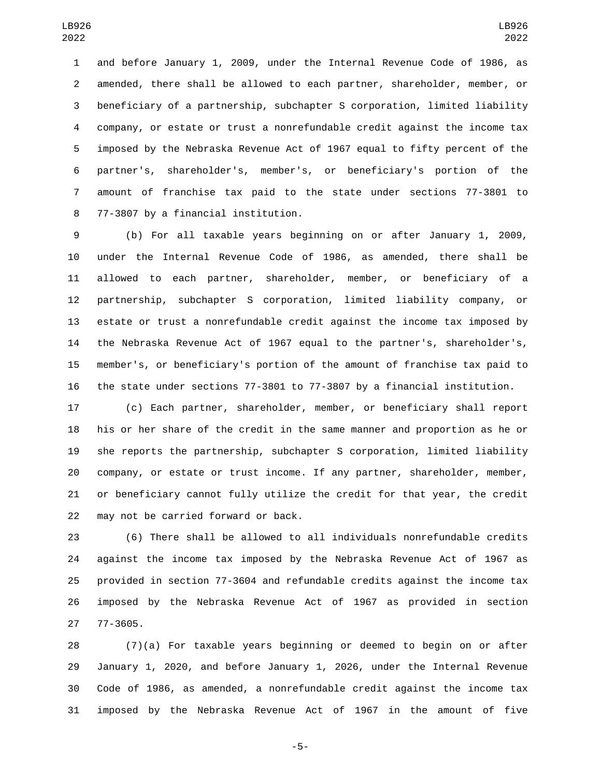and before January 1, 2009, under the Internal Revenue Code of 1986, as amended, there shall be allowed to each partner, shareholder, member, or beneficiary of a partnership, subchapter S corporation, limited liability company, or estate or trust a nonrefundable credit against the income tax imposed by the Nebraska Revenue Act of 1967 equal to fifty percent of the partner's, shareholder's, member's, or beneficiary's portion of the amount of franchise tax paid to the state under sections 77-3801 to 8 77-3807 by a financial institution.

 (b) For all taxable years beginning on or after January 1, 2009, under the Internal Revenue Code of 1986, as amended, there shall be allowed to each partner, shareholder, member, or beneficiary of a partnership, subchapter S corporation, limited liability company, or estate or trust a nonrefundable credit against the income tax imposed by the Nebraska Revenue Act of 1967 equal to the partner's, shareholder's, member's, or beneficiary's portion of the amount of franchise tax paid to the state under sections 77-3801 to 77-3807 by a financial institution.

 (c) Each partner, shareholder, member, or beneficiary shall report his or her share of the credit in the same manner and proportion as he or she reports the partnership, subchapter S corporation, limited liability company, or estate or trust income. If any partner, shareholder, member, or beneficiary cannot fully utilize the credit for that year, the credit 22 may not be carried forward or back.

 (6) There shall be allowed to all individuals nonrefundable credits against the income tax imposed by the Nebraska Revenue Act of 1967 as provided in section 77-3604 and refundable credits against the income tax imposed by the Nebraska Revenue Act of 1967 as provided in section 27 77-3605.

 (7)(a) For taxable years beginning or deemed to begin on or after January 1, 2020, and before January 1, 2026, under the Internal Revenue Code of 1986, as amended, a nonrefundable credit against the income tax imposed by the Nebraska Revenue Act of 1967 in the amount of five

-5-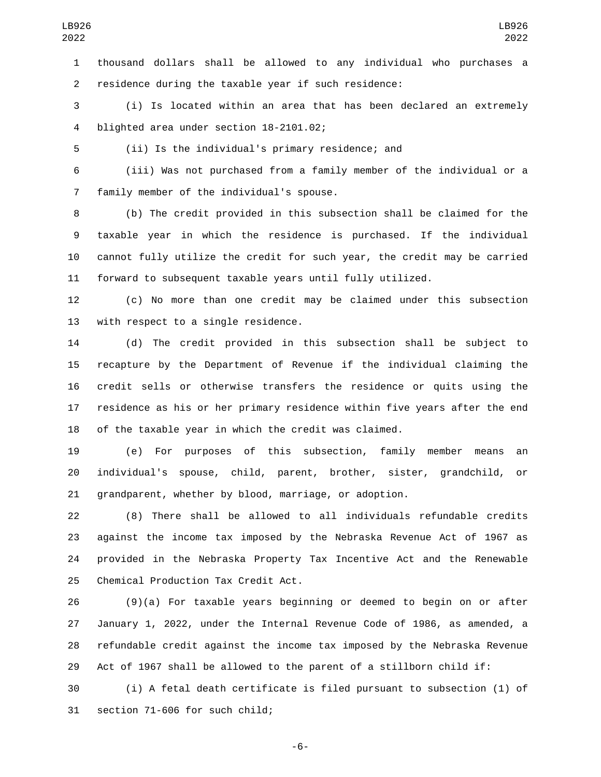thousand dollars shall be allowed to any individual who purchases a residence during the taxable year if such residence:

 (i) Is located within an area that has been declared an extremely 4 blighted area under section 18-2101.02;

(ii) Is the individual's primary residence; and

 (iii) Was not purchased from a family member of the individual or a 7 family member of the individual's spouse.

 (b) The credit provided in this subsection shall be claimed for the taxable year in which the residence is purchased. If the individual cannot fully utilize the credit for such year, the credit may be carried forward to subsequent taxable years until fully utilized.

 (c) No more than one credit may be claimed under this subsection 13 with respect to a single residence.

 (d) The credit provided in this subsection shall be subject to recapture by the Department of Revenue if the individual claiming the credit sells or otherwise transfers the residence or quits using the residence as his or her primary residence within five years after the end of the taxable year in which the credit was claimed.

 (e) For purposes of this subsection, family member means an individual's spouse, child, parent, brother, sister, grandchild, or grandparent, whether by blood, marriage, or adoption.

 (8) There shall be allowed to all individuals refundable credits against the income tax imposed by the Nebraska Revenue Act of 1967 as provided in the Nebraska Property Tax Incentive Act and the Renewable 25 Chemical Production Tax Credit Act.

 (9)(a) For taxable years beginning or deemed to begin on or after January 1, 2022, under the Internal Revenue Code of 1986, as amended, a refundable credit against the income tax imposed by the Nebraska Revenue Act of 1967 shall be allowed to the parent of a stillborn child if:

 (i) A fetal death certificate is filed pursuant to subsection (1) of 31 section 71-606 for such child;

-6-